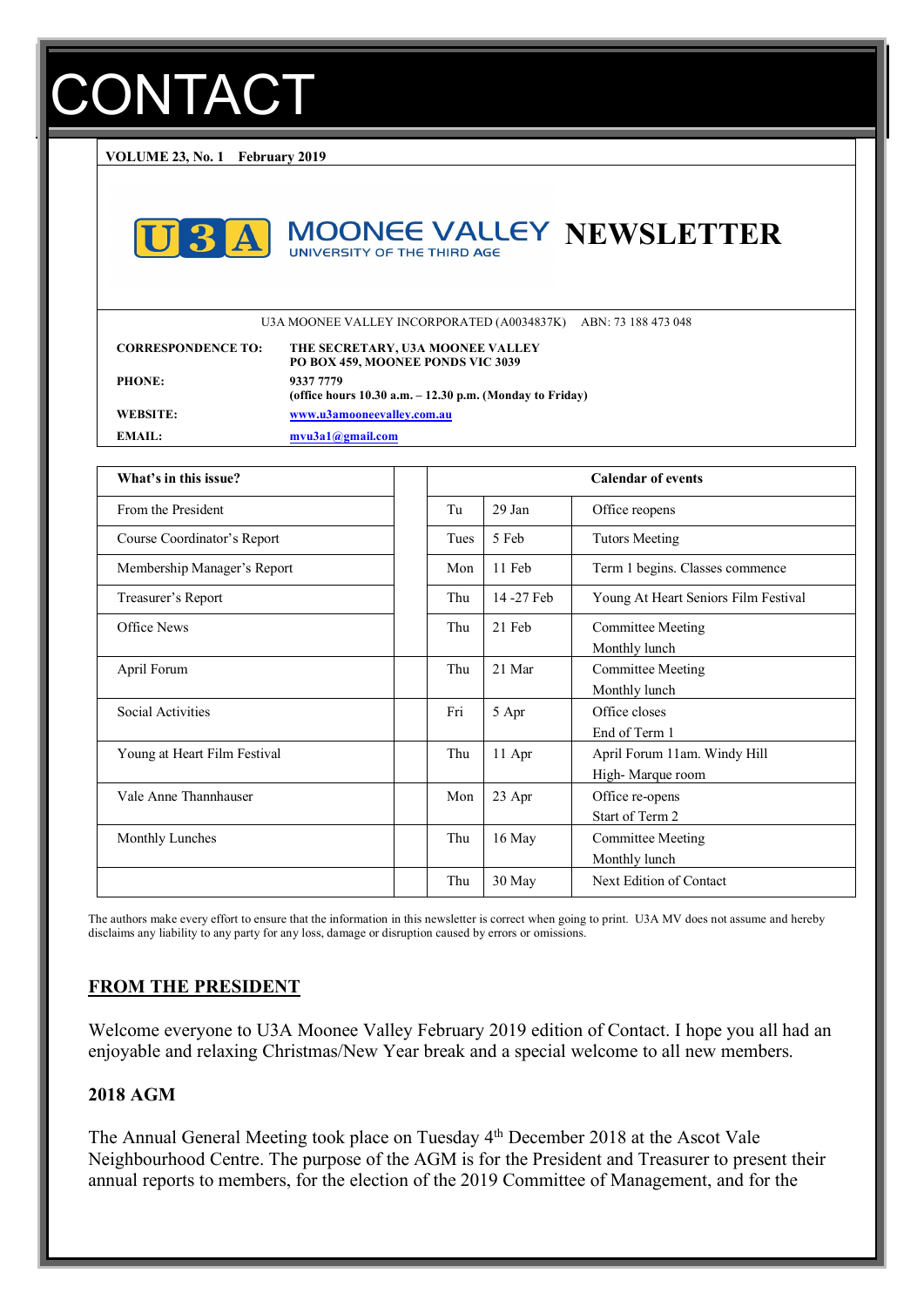# ONTACT

**VOLUME 23, No. 1 February 2019**



# **MOONEE VALLEY NEWSLETTER**

U3A MOONEE VALLEY INCORPORATED (A0034837K) ABN: 73 188 473 048

| <b>CORRESPONDENCE TO:</b> | THE SECRETARY, U3A MOONEE VALLEY<br>PO BOX 459, MOONEE PONDS VIC 3039    |
|---------------------------|--------------------------------------------------------------------------|
| <b>PHONE:</b>             | 9337 7779<br>(office hours $10.30$ a.m. $-12.30$ p.m. (Monday to Friday) |
| WEBSITE:                  | www.u3amooneevalley.com.au                                               |
| EMAIL:                    | $m$ vu $3a1@g$ mail.com                                                  |

| What's in this issue?        |      |           | <b>Calendar of events</b>                        |
|------------------------------|------|-----------|--------------------------------------------------|
| From the President           | Tu   | 29 Jan    | Office reopens                                   |
| Course Coordinator's Report  | Tues | 5 Feb     | <b>Tutors Meeting</b>                            |
| Membership Manager's Report  | Mon  | 11 Feb    | Term 1 begins. Classes commence                  |
| Treasurer's Report           | Thu  | 14-27 Feb | Young At Heart Seniors Film Festival             |
| Office News                  | Thu  | 21 Feb    | <b>Committee Meeting</b><br>Monthly lunch        |
| April Forum                  | Thu  | 21 Mar    | Committee Meeting<br>Monthly lunch               |
| Social Activities            | Fri  | 5 Apr     | Office closes<br>End of Term 1                   |
| Young at Heart Film Festival | Thu  | 11 Apr    | April Forum 11am. Windy Hill<br>High-Marque room |
| Vale Anne Thannhauser        | Mon  | 23 Apr    | Office re-opens<br>Start of Term 2               |
| <b>Monthly Lunches</b>       | Thu  | 16 May    | Committee Meeting<br>Monthly lunch               |
|                              | Thu  | 30 May    | Next Edition of Contact                          |

The authors make every effort to ensure that the information in this newsletter is correct when going to print. U3A MV does not assume and hereby disclaims any liability to any party for any loss, damage or disruption caused by errors or omissions.

#### **FROM THE PRESIDENT**

Welcome everyone to U3A Moonee Valley February 2019 edition of Contact. I hope you all had an enjoyable and relaxing Christmas/New Year break and a special welcome to all new members.

#### **2018 AGM**

The Annual General Meeting took place on Tuesday 4<sup>th</sup> December 2018 at the Ascot Vale Neighbourhood Centre. The purpose of the AGM is for the President and Treasurer to present their annual reports to members, for the election of the 2019 Committee of Management, and for the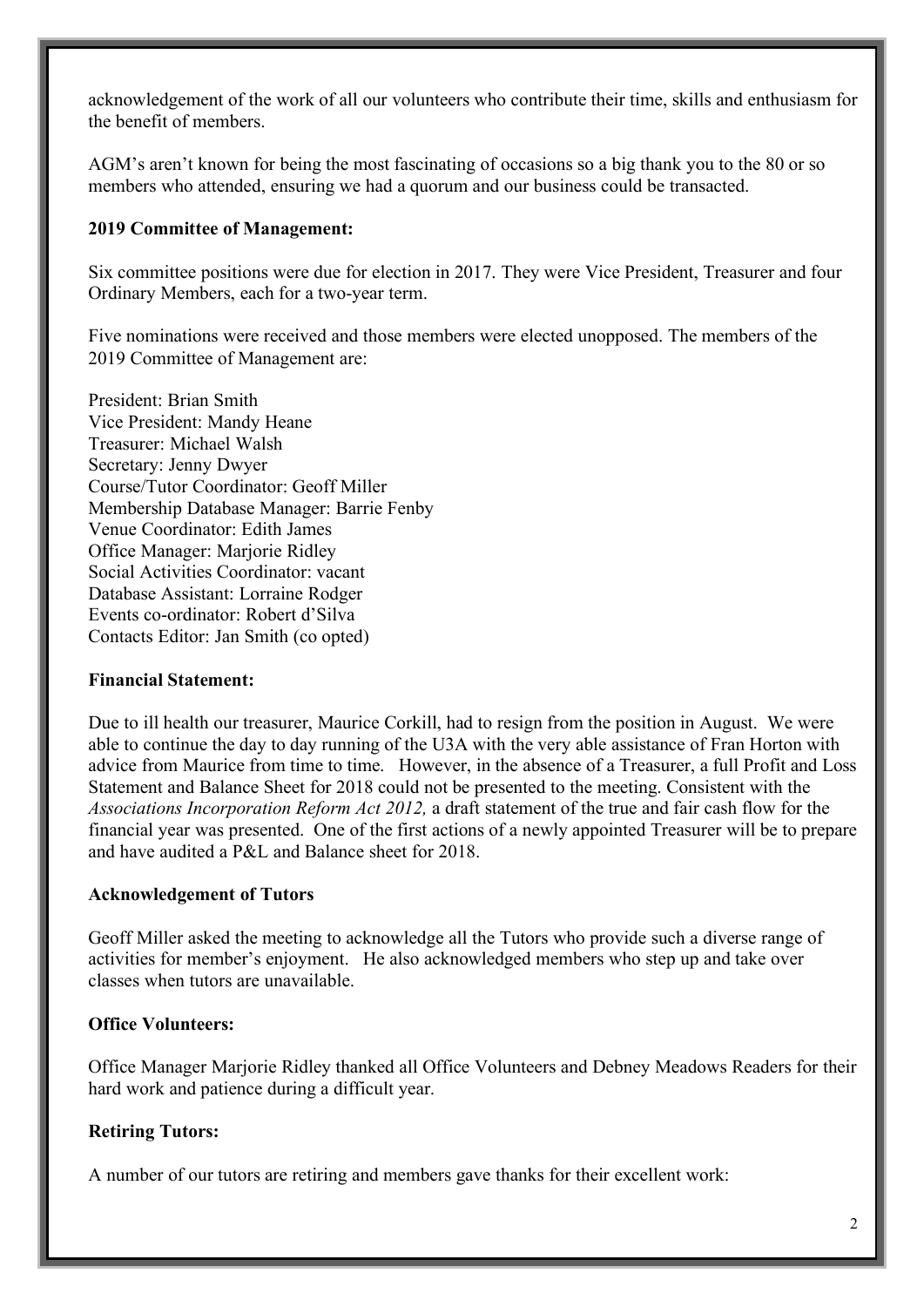acknowledgement of the work of all our volunteers who contribute their time, skills and enthusiasm for the benefit of members.

AGM's aren't known for being the most fascinating of occasions so a big thank you to the 80 or so members who attended, ensuring we had a quorum and our business could be transacted.

#### **2019 Committee of Management:**

Six committee positions were due for election in 2017. They were Vice President, Treasurer and four Ordinary Members, each for a two-year term.

Five nominations were received and those members were elected unopposed. The members of the 2019 Committee of Management are:

President: Brian Smith Vice President: Mandy Heane Treasurer: Michael Walsh Secretary: Jenny Dwyer Course/Tutor Coordinator: Geoff Miller Membership Database Manager: Barrie Fenby Venue Coordinator: Edith James Office Manager: Marjorie Ridley Social Activities Coordinator: vacant Database Assistant: Lorraine Rodger Events co-ordinator: Robert d'Silva Contacts Editor: Jan Smith (co opted)

#### **Financial Statement:**

Due to ill health our treasurer, Maurice Corkill, had to resign from the position in August. We were able to continue the day to day running of the U3A with the very able assistance of Fran Horton with advice from Maurice from time to time. However, in the absence of a Treasurer, a full Profit and Loss Statement and Balance Sheet for 2018 could not be presented to the meeting. Consistent with the *Associations Incorporation Reform Act 2012,* a draft statement of the true and fair cash flow for the financial year was presented. One of the first actions of a newly appointed Treasurer will be to prepare and have audited a P&L and Balance sheet for 2018.

#### **Acknowledgement of Tutors**

Geoff Miller asked the meeting to acknowledge all the Tutors who provide such a diverse range of activities for member's enjoyment. He also acknowledged members who step up and take over classes when tutors are unavailable.

#### **Office Volunteers:**

Office Manager Marjorie Ridley thanked all Office Volunteers and Debney Meadows Readers for their hard work and patience during a difficult year.

#### **Retiring Tutors:**

A number of our tutors are retiring and members gave thanks for their excellent work: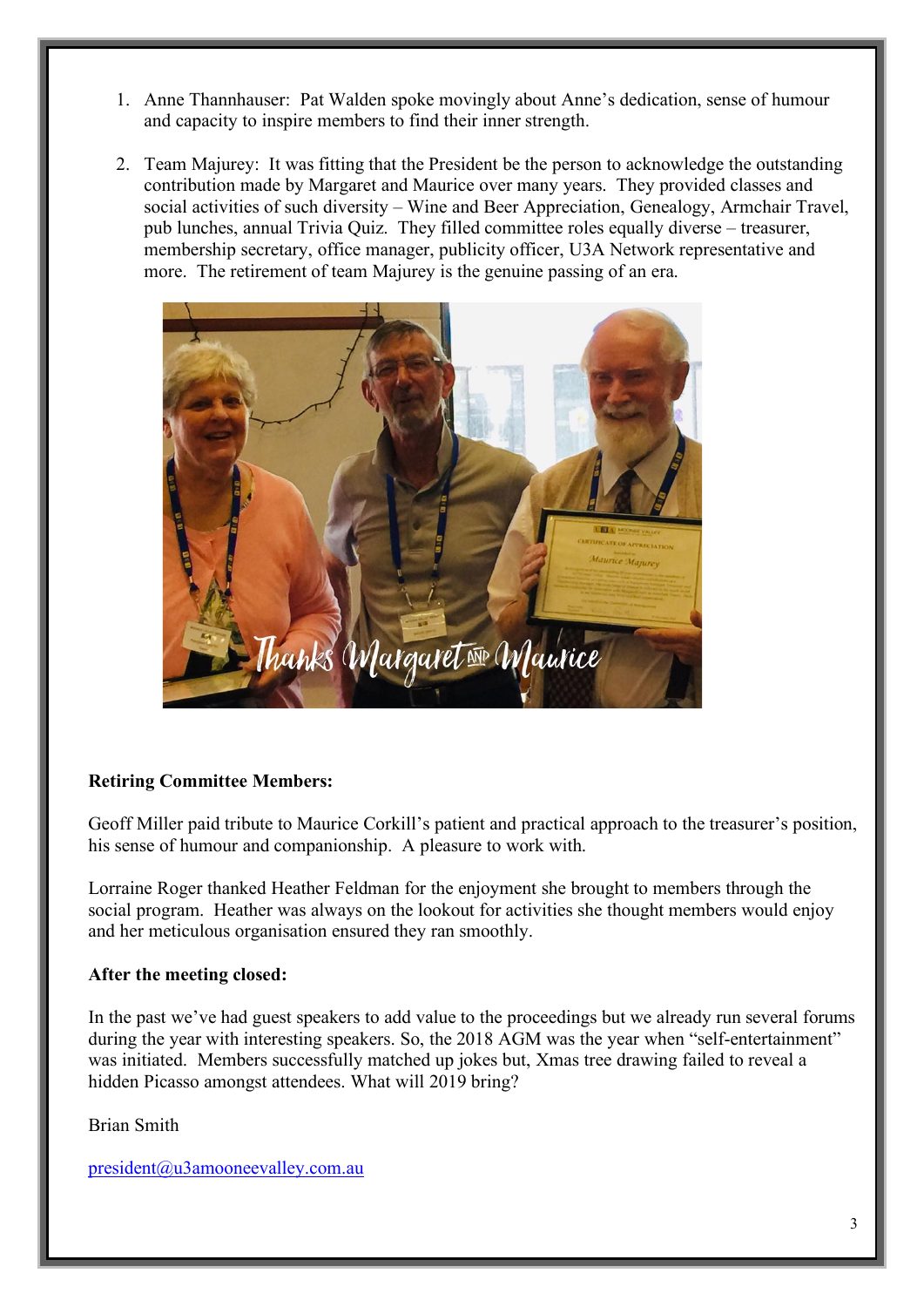- 1. Anne Thannhauser: Pat Walden spoke movingly about Anne's dedication, sense of humour and capacity to inspire members to find their inner strength.
- 2. Team Majurey: It was fitting that the President be the person to acknowledge the outstanding contribution made by Margaret and Maurice over many years. They provided classes and social activities of such diversity – Wine and Beer Appreciation, Genealogy, Armchair Travel, pub lunches, annual Trivia Quiz. They filled committee roles equally diverse – treasurer, membership secretary, office manager, publicity officer, U3A Network representative and more. The retirement of team Majurey is the genuine passing of an era.



#### **Retiring Committee Members:**

Geoff Miller paid tribute to Maurice Corkill's patient and practical approach to the treasurer's position, his sense of humour and companionship. A pleasure to work with.

Lorraine Roger thanked Heather Feldman for the enjoyment she brought to members through the social program. Heather was always on the lookout for activities she thought members would enjoy and her meticulous organisation ensured they ran smoothly.

#### **After the meeting closed:**

In the past we've had guest speakers to add value to the proceedings but we already run several forums during the year with interesting speakers. So, the 2018 AGM was the year when "self-entertainment" was initiated. Members successfully matched up jokes but, Xmas tree drawing failed to reveal a hidden Picasso amongst attendees. What will 2019 bring?

Brian Smith

president@u3amooneevalley.com.au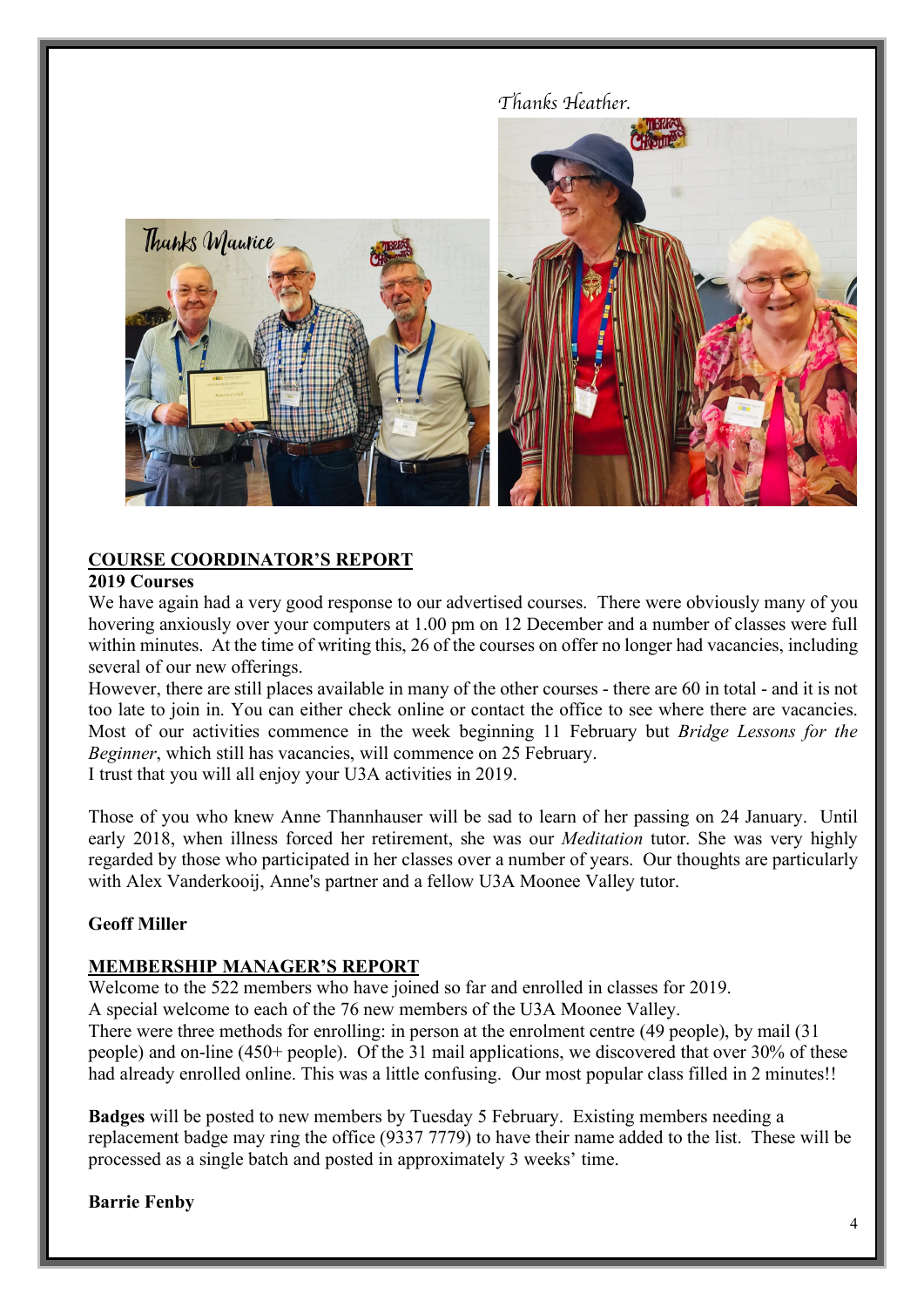

#### **COURSE COORDINATOR'S REPORT**

#### **2019 Courses**

We have again had a very good response to our advertised courses. There were obviously many of you hovering anxiously over your computers at 1.00 pm on 12 December and a number of classes were full within minutes. At the time of writing this, 26 of the courses on offer no longer had vacancies, including several of our new offerings.

However, there are still places available in many of the other courses - there are 60 in total - and it is not too late to join in. You can either check online or contact the office to see where there are vacancies. Most of our activities commence in the week beginning 11 February but *Bridge Lessons for the Beginner*, which still has vacancies, will commence on 25 February.

I trust that you will all enjoy your U3A activities in 2019.

Those of you who knew Anne Thannhauser will be sad to learn of her passing on 24 January. Until early 2018, when illness forced her retirement, she was our *Meditation* tutor. She was very highly regarded by those who participated in her classes over a number of years. Our thoughts are particularly with Alex Vanderkooij, Anne's partner and a fellow U3A Moonee Valley tutor.

#### **Geoff Miller**

#### **MEMBERSHIP MANAGER'S REPORT**

Welcome to the 522 members who have joined so far and enrolled in classes for 2019.

A special welcome to each of the 76 new members of the U3A Moonee Valley.

There were three methods for enrolling: in person at the enrolment centre (49 people), by mail (31 people) and on-line (450+ people). Of the 31 mail applications, we discovered that over 30% of these had already enrolled online. This was a little confusing. Our most popular class filled in 2 minutes!!

**Badges** will be posted to new members by Tuesday 5 February. Existing members needing a replacement badge may ring the office (9337 7779) to have their name added to the list. These will be processed as a single batch and posted in approximately 3 weeks' time.

**Barrie Fenby**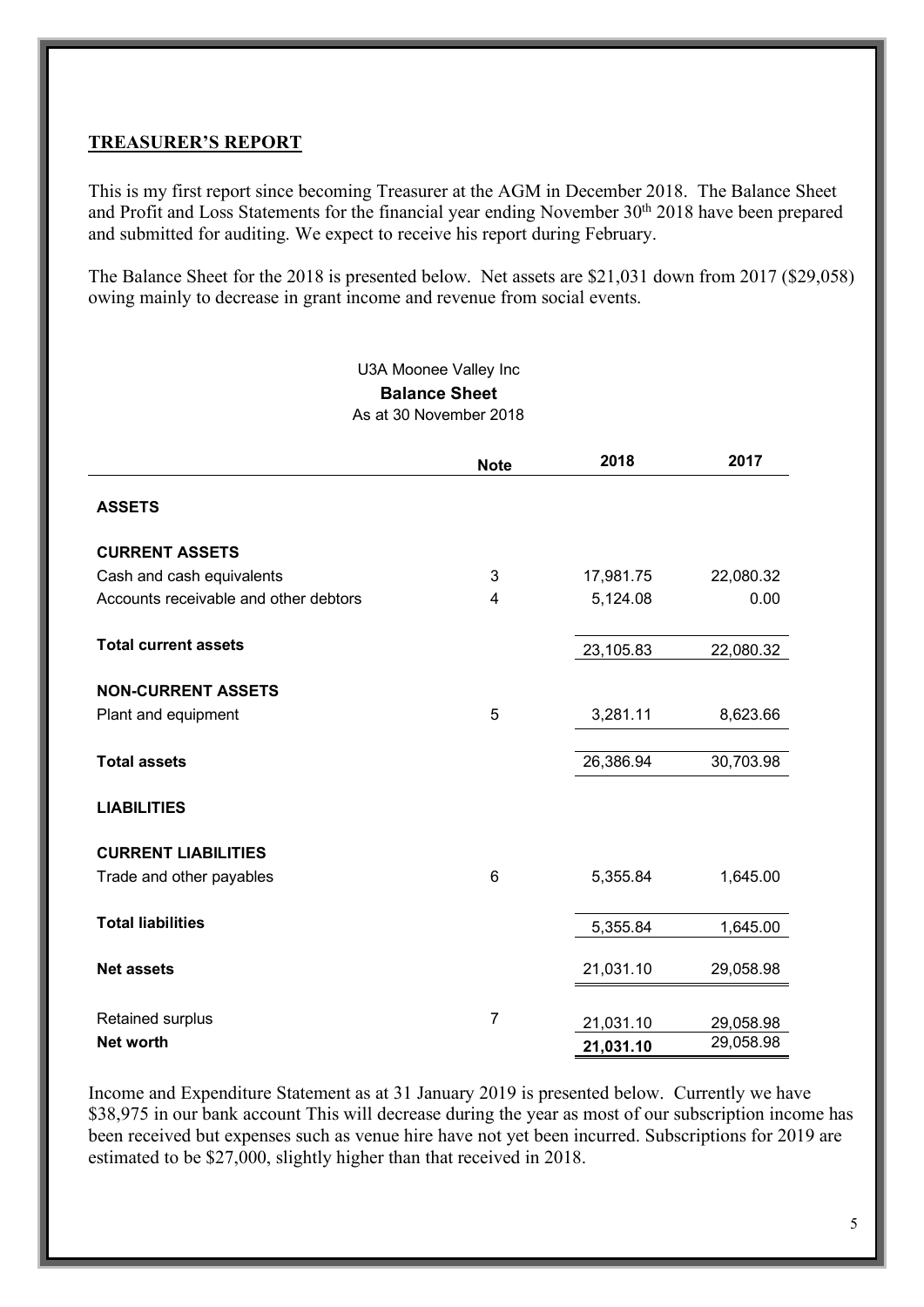#### **TREASURER'S REPORT**

This is my first report since becoming Treasurer at the AGM in December 2018. The Balance Sheet and Profit and Loss Statements for the financial year ending November 30<sup>th</sup> 2018 have been prepared and submitted for auditing. We expect to receive his report during February.

The Balance Sheet for the 2018 is presented below. Net assets are \$21,031 down from 2017 (\$29,058) owing mainly to decrease in grant income and revenue from social events.

#### U3A Moonee Valley Inc **Balance Sheet** As at 30 November 2018

|                                       | <b>Note</b>    | 2018      | 2017      |
|---------------------------------------|----------------|-----------|-----------|
| <b>ASSETS</b>                         |                |           |           |
| <b>CURRENT ASSETS</b>                 |                |           |           |
| Cash and cash equivalents             | 3              | 17,981.75 | 22,080.32 |
| Accounts receivable and other debtors | 4              | 5,124.08  | 0.00      |
| <b>Total current assets</b>           |                | 23,105.83 | 22,080.32 |
| <b>NON-CURRENT ASSETS</b>             |                |           |           |
| Plant and equipment                   | 5              | 3,281.11  | 8,623.66  |
| <b>Total assets</b>                   |                | 26,386.94 | 30,703.98 |
|                                       |                |           |           |
| <b>LIABILITIES</b>                    |                |           |           |
| <b>CURRENT LIABILITIES</b>            |                |           |           |
| Trade and other payables              | 6              | 5,355.84  | 1,645.00  |
| <b>Total liabilities</b>              |                | 5,355.84  | 1,645.00  |
| <b>Net assets</b>                     |                | 21,031.10 | 29,058.98 |
|                                       | $\overline{7}$ |           |           |
| Retained surplus                      |                | 21,031.10 | 29,058.98 |
| <b>Net worth</b>                      |                | 21,031.10 | 29,058.98 |

Income and Expenditure Statement as at 31 January 2019 is presented below. Currently we have \$38,975 in our bank account This will decrease during the year as most of our subscription income has been received but expenses such as venue hire have not yet been incurred. Subscriptions for 2019 are estimated to be \$27,000, slightly higher than that received in 2018.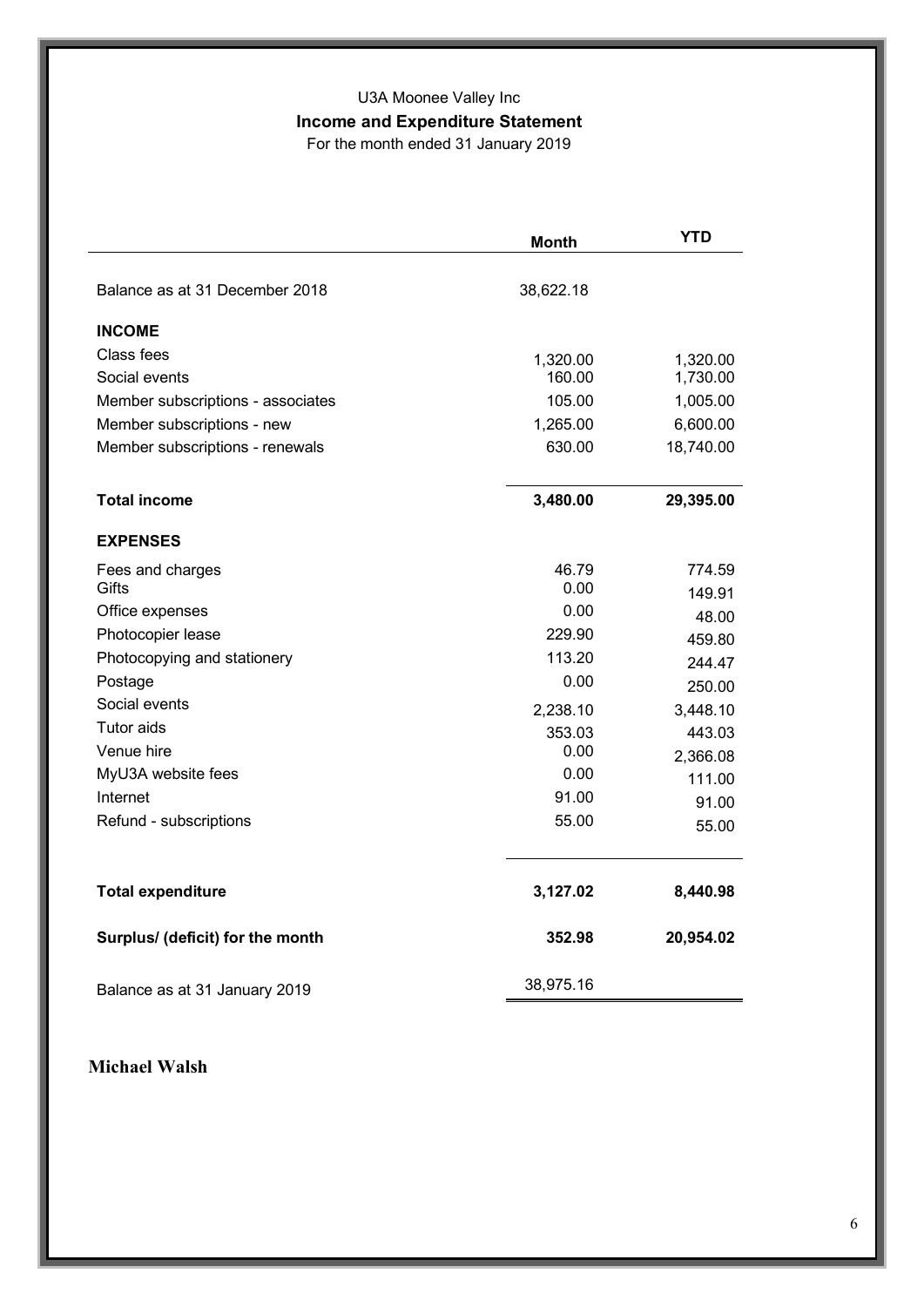# U3A Moonee Valley Inc **Income and Expenditure Statement**

For the month ended 31 January 2019

|                                   | <b>Month</b> | <b>YTD</b> |
|-----------------------------------|--------------|------------|
| Balance as at 31 December 2018    |              |            |
|                                   | 38,622.18    |            |
| <b>INCOME</b>                     |              |            |
| Class fees                        | 1,320.00     | 1,320.00   |
| Social events                     | 160.00       | 1,730.00   |
| Member subscriptions - associates | 105.00       | 1,005.00   |
| Member subscriptions - new        | 1,265.00     | 6,600.00   |
| Member subscriptions - renewals   | 630.00       | 18,740.00  |
| <b>Total income</b>               | 3,480.00     | 29,395.00  |
| <b>EXPENSES</b>                   |              |            |
| Fees and charges                  | 46.79        | 774.59     |
| Gifts                             | 0.00         | 149.91     |
| Office expenses                   | 0.00         | 48.00      |
| Photocopier lease                 | 229.90       | 459.80     |
| Photocopying and stationery       | 113.20       | 244.47     |
| Postage                           | 0.00         | 250.00     |
| Social events                     | 2,238.10     | 3,448.10   |
| <b>Tutor aids</b>                 | 353.03       | 443.03     |
| Venue hire                        | 0.00         | 2,366.08   |
| MyU3A website fees                | 0.00         | 111.00     |
| Internet                          | 91.00        | 91.00      |
| Refund - subscriptions            | 55.00        | 55.00      |
| <b>Total expenditure</b>          | 3,127.02     | 8,440.98   |
| Surplus/ (deficit) for the month  | 352.98       | 20,954.02  |
| Balance as at 31 January 2019     | 38,975.16    |            |

# **Michael Walsh**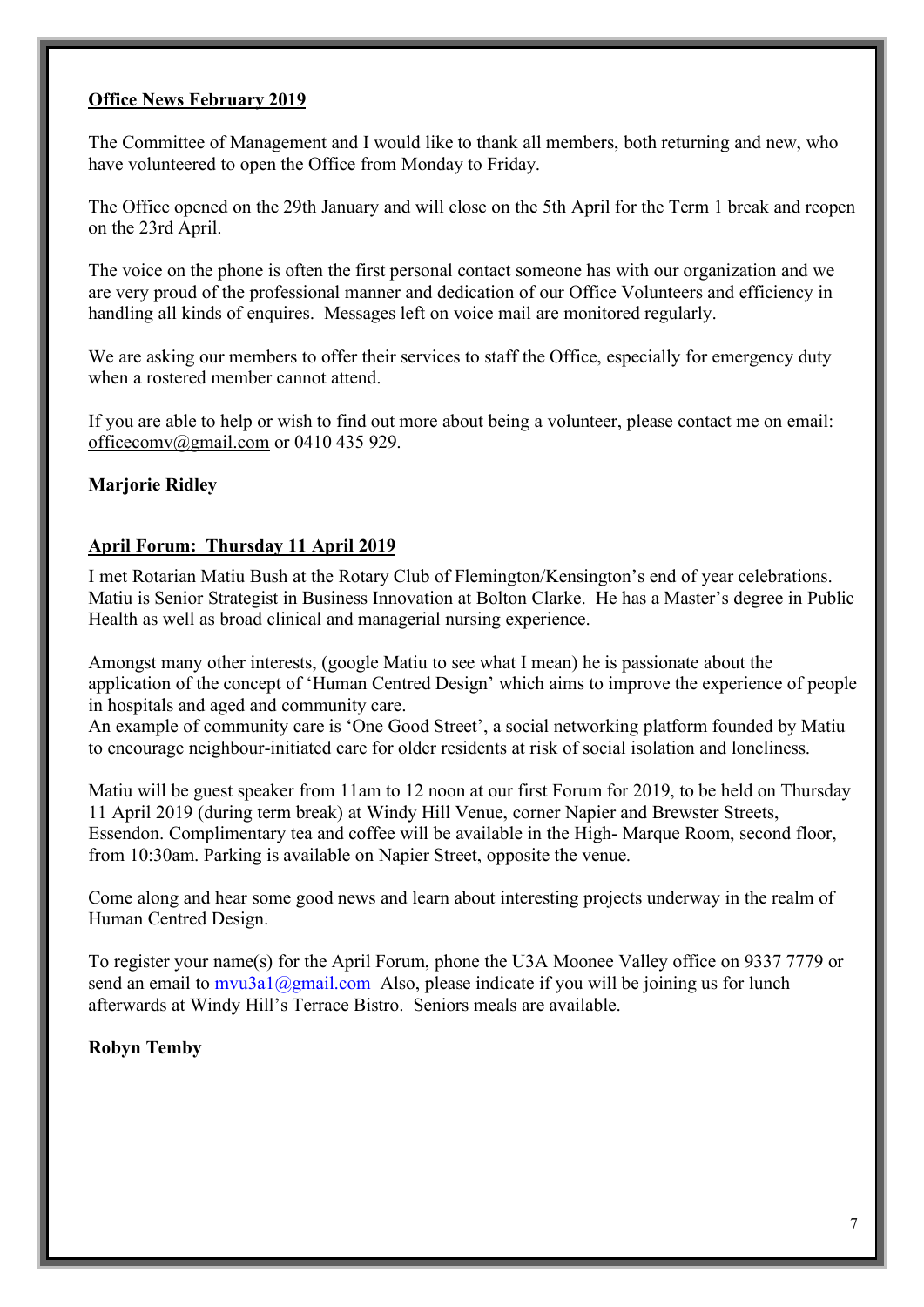#### **Office News February 2019**

The Committee of Management and I would like to thank all members, both returning and new, who have volunteered to open the Office from Monday to Friday.

The Office opened on the 29th January and will close on the 5th April for the Term 1 break and reopen on the 23rd April.

The voice on the phone is often the first personal contact someone has with our organization and we are very proud of the professional manner and dedication of our Office Volunteers and efficiency in handling all kinds of enquires. Messages left on voice mail are monitored regularly.

We are asking our members to offer their services to staff the Office, especially for emergency duty when a rostered member cannot attend.

If you are able to help or wish to find out more about being a volunteer, please contact me on email: officecomv@gmail.com or 0410 435 929.

#### **Marjorie Ridley**

#### **April Forum: Thursday 11 April 2019**

I met Rotarian Matiu Bush at the Rotary Club of Flemington/Kensington's end of year celebrations. Matiu is Senior Strategist in Business Innovation at Bolton Clarke. He has a Master's degree in Public Health as well as broad clinical and managerial nursing experience.

Amongst many other interests, (google Matiu to see what I mean) he is passionate about the application of the concept of 'Human Centred Design' which aims to improve the experience of people in hospitals and aged and community care.

An example of community care is 'One Good Street', a social networking platform founded by Matiu to encourage neighbour-initiated care for older residents at risk of social isolation and loneliness.

Matiu will be guest speaker from 11am to 12 noon at our first Forum for 2019, to be held on Thursday 11 April 2019 (during term break) at Windy Hill Venue, corner Napier and Brewster Streets, Essendon. Complimentary tea and coffee will be available in the High- Marque Room, second floor, from 10:30am. Parking is available on Napier Street, opposite the venue.

Come along and hear some good news and learn about interesting projects underway in the realm of Human Centred Design.

To register your name(s) for the April Forum, phone the U3A Moonee Valley office on 9337 7779 or send an email to mvu3a1@gmail.com Also, please indicate if you will be joining us for lunch afterwards at Windy Hill's Terrace Bistro. Seniors meals are available.

#### **Robyn Temby**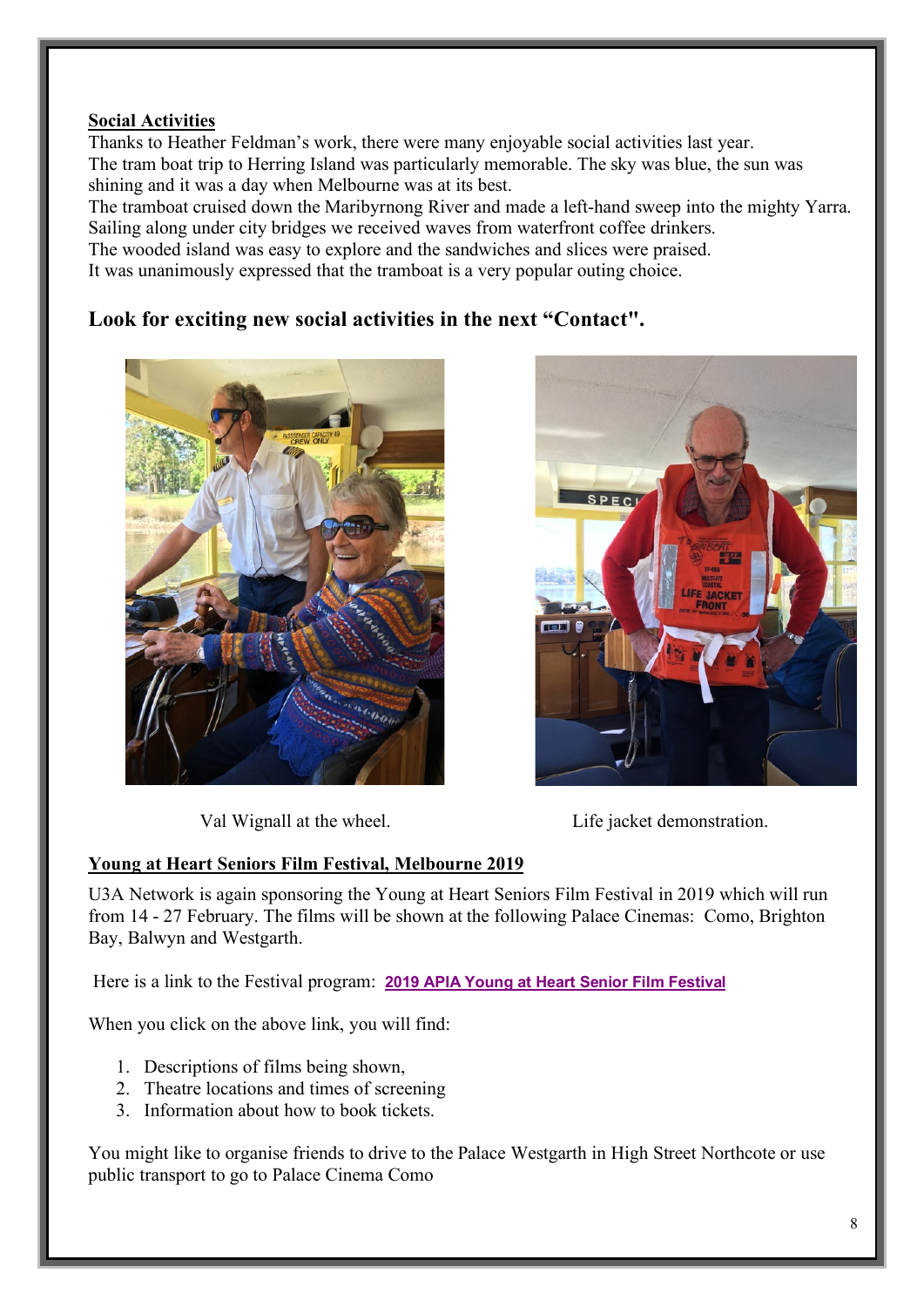## **Social Activities**

Thanks to Heather Feldman's work, there were many enjoyable social activities last year. The tram boat trip to Herring Island was particularly memorable. The sky was blue, the sun was shining and it was a day when Melbourne was at its best.

The tramboat cruised down the Maribyrnong River and made a left-hand sweep into the mighty Yarra. Sailing along under city bridges we received waves from waterfront coffee drinkers.

The wooded island was easy to explore and the sandwiches and slices were praised.

It was unanimously expressed that the tramboat is a very popular outing choice.

# **Look for exciting new social activities in the next "Contact".**





Val Wignall at the wheel. Life jacket demonstration.

## **Young at Heart Seniors Film Festival, Melbourne 2019**

U3A Network is again sponsoring the Young at Heart Seniors Film Festival in 2019 which will run from 14 - 27 February. The films will be shown at the following Palace Cinemas: Como, Brighton Bay, Balwyn and Westgarth.

Here is a link to the Festival program: **2019 APIA Young at Heart Senior Film Festival**

When you click on the above link, you will find:

- 1. Descriptions of films being shown,
- 2. Theatre locations and times of screening
- 3. Information about how to book tickets.

You might like to organise friends to drive to the Palace Westgarth in High Street Northcote or use public transport to go to Palace Cinema Como